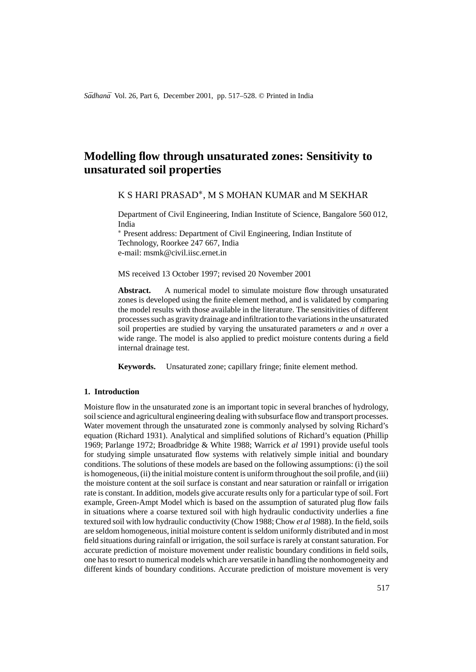*Sādhanā* Vol. 26, Part 6, December 2001, pp. 517–528. © Printed in India

# **Modelling flow through unsaturated zones: Sensitivity to unsaturated soil properties**

K S HARI PRASAD∗, M S MOHAN KUMAR and M SEKHAR

Department of Civil Engineering, Indian Institute of Science, Bangalore 560 012, India

∗ Present address: Department of Civil Engineering, Indian Institute of Technology, Roorkee 247 667, India e-mail: msmk@civil.iisc.ernet.in

MS received 13 October 1997; revised 20 November 2001

Abstract. A numerical model to simulate moisture flow through unsaturated zones is developed using the finite element method, and is validated by comparing the model results with those available in the literature. The sensitivities of different processes such as gravity drainage and infiltration to the variations in the unsaturated soil properties are studied by varying the unsaturated parameters  $\alpha$  and n over a wide range. The model is also applied to predict moisture contents during a field internal drainage test.

**Keywords.** Unsaturated zone; capillary fringe; finite element method.

# **1. Introduction**

Moisture flow in the unsaturated zone is an important topic in several branches of hydrology, soil science and agricultural engineering dealing with subsurface flow and transport processes. Water movement through the unsaturated zone is commonly analysed by solving Richard's equation (Richard 1931). Analytical and simplified solutions of Richard's equation (Phillip 1969; Parlange 1972; Broadbridge & White 1988; Warrick *et al* 1991) provide useful tools for studying simple unsaturated flow systems with relatively simple initial and boundary conditions. The solutions of these models are based on the following assumptions: (i) the soil is homogeneous, (ii) the initial moisture content is uniform throughout the soil profile, and (iii) the moisture content at the soil surface is constant and near saturation or rainfall or irrigation rate is constant. In addition, models give accurate results only for a particular type of soil. Fort example, Green-Ampt Model which is based on the assumption of saturated plug flow fails in situations where a coarse textured soil with high hydraulic conductivity underlies a fine textured soil with low hydraulic conductivity (Chow 1988; Chow *et al* 1988). In the field, soils are seldom homogeneous, initial moisture content is seldom uniformly distributed and in most field situations during rainfall or irrigation, the soil surface is rarely at constant saturation. For accurate prediction of moisture movement under realistic boundary conditions in field soils, one has to resort to numerical models which are versatile in handling the nonhomogeneity and different kinds of boundary conditions. Accurate prediction of moisture movement is very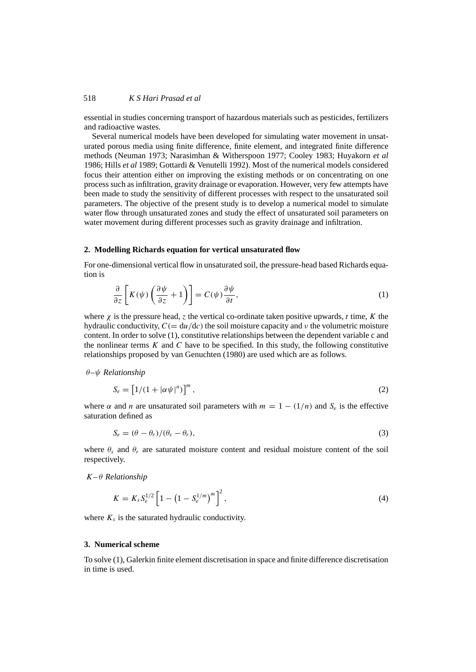essential in studies concerning transport of hazardous materials such as pesticides, fertilizers and radioactive wastes.

Several numerical models have been developed for simulating water movement in unsaturated porous media using finite difference, finite element, and integrated finite difference methods (Neuman 1973; Narasimhan & Witherspoon 1977; Cooley 1983; Huyakorn *et al* 1986; Hills *et al* 1989; Gottardi & Venutelli 1992). Most of the numerical models considered focus their attention either on improving the existing methods or on concentrating on one process such as infiltration, gravity drainage or evaporation. However, very few attempts have been made to study the sensitivity of different processes with respect to the unsaturated soil parameters. The objective of the present study is to develop a numerical model to simulate water flow through unsaturated zones and study the effect of unsaturated soil parameters on water movement during different processes such as gravity drainage and infiltration.

#### **2. Modelling Richards equation for vertical unsaturated flow**

For one-dimensional vertical flow in unsaturated soil, the pressure-head based Richards equation is

$$
\frac{\partial}{\partial z}\left[K(\psi)\left(\frac{\partial\psi}{\partial z}+1\right)\right] = C(\psi)\frac{\partial\psi}{\partial t},\tag{1}
$$

where  $\chi$  is the pressure head, z the vertical co-ordinate taken positive upwards, t time, K the hydraulic conductivity,  $C = \frac{du}{dv}$  the soil moisture capacity and  $\nu$  the volumetric moisture content. In order to solve (1), constitutive relationships between the dependent variable c and the nonlinear terms  $K$  and  $C$  have to be specified. In this study, the following constitutive relationships proposed by van Genuchten (1980) are used which are as follows.

θ*–*ψ *Relationship*

$$
S_e = \left[1/(1 + |\alpha \psi|^n)\right]^m, \tag{2}
$$

where  $\alpha$  and *n* are unsaturated soil parameters with  $m = 1 - (1/n)$  and  $S_e$  is the effective saturation defined as

$$
S_e = (\theta - \theta_r) / (\theta_s - \theta_r),
$$
\n(3)

where  $\theta_s$  and  $\theta_r$  are saturated moisture content and residual moisture content of the soil respectively.

K*–* θ *Relationship*

$$
K = K_s S_e^{1/2} \left[ 1 - \left( 1 - S_e^{1/m} \right)^m \right]^2, \tag{4}
$$

where  $K_s$  is the saturated hydraulic conductivity.

# **3. Numerical scheme**

To solve (1), Galerkin finite element discretisation in space and finite difference discretisation in time is used.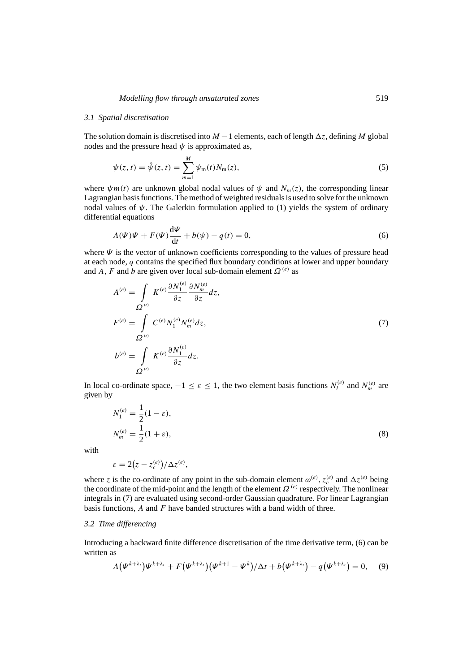### *3.1 Spatial discretisation*

The solution domain is discretised into  $M-1$  elements, each of length  $\Delta z$ , defining M global nodes and the pressure head  $\psi$  is approximated as,

$$
\psi(z,t) = \hat{\psi}(z,t) = \sum_{m=1}^{M} \psi_m(t) N_m(z),
$$
\n(5)

where  $\psi m(t)$  are unknown global nodal values of  $\psi$  and  $N_m(z)$ , the corresponding linear Lagrangian basis functions. The method of weighted residuals is used to solve for the unknown nodal values of  $\psi$ . The Galerkin formulation applied to (1) yields the system of ordinary differential equations

$$
A(\Psi)\Psi + F(\Psi)\frac{\mathrm{d}\Psi}{\mathrm{d}t} + b(\psi) - q(t) = 0,\tag{6}
$$

where  $\Psi$  is the vector of unknown coefficients corresponding to the values of pressure head at each node, q contains the specified flux boundary conditions at lower and upper boundary and A, F and b are given over local sub-domain element  $\Omega^{(e)}$  as

$$
A^{(e)} = \int\limits_{\Omega} K^{(e)} \frac{\partial N_1^{(e)}}{\partial z} \frac{\partial N_m^{(e)}}{\partial z} dz,
$$
  
\n
$$
F^{(e)} = \int\limits_{\Omega} C^{(e)} N_1^{(e)} N_m^{(e)} dz,
$$
  
\n
$$
b^{(e)} = \int\limits_{\Omega} K^{(e)} \frac{\partial N_1^{(e)}}{\partial z} dz.
$$
\n(7)

In local co-ordinate space,  $-1 \le \varepsilon \le 1$ , the two element basis functions  $N_l^{(e)}$  and  $N_m^{(e)}$  are given by

$$
N_1^{(e)} = \frac{1}{2}(1 - \varepsilon),
$$
  
\n
$$
N_m^{(e)} = \frac{1}{2}(1 + \varepsilon),
$$
\n(8)

with

$$
\varepsilon = 2(z - z_c^{(e)})/\Delta z^{(e)},
$$

where z is the co-ordinate of any point in the sub-domain element  $\omega^{(e)}$ ,  $z_c^{(e)}$  and  $\Delta z^{(e)}$  being the coordinate of the mid-point and the length of the element  $\Omega^{(e)}$  respectively. The nonlinear integrals in (7) are evaluated using second-order Gaussian quadrature. For linear Lagrangian basis functions,  $A$  and  $F$  have banded structures with a band width of three.

# *3.2 Time differencing*

Introducing a backward finite difference discretisation of the time derivative term, (6) can be written as

$$
A(\Psi^{k+\lambda_{t}})\Psi^{k+\lambda_{t}} + F(\Psi^{k+\lambda_{t}})(\Psi^{k+1} - \Psi^{k})/\Delta t + b(\Psi^{k+\lambda_{t}}) - q(\Psi^{k+\lambda_{t}}) = 0, \quad (9)
$$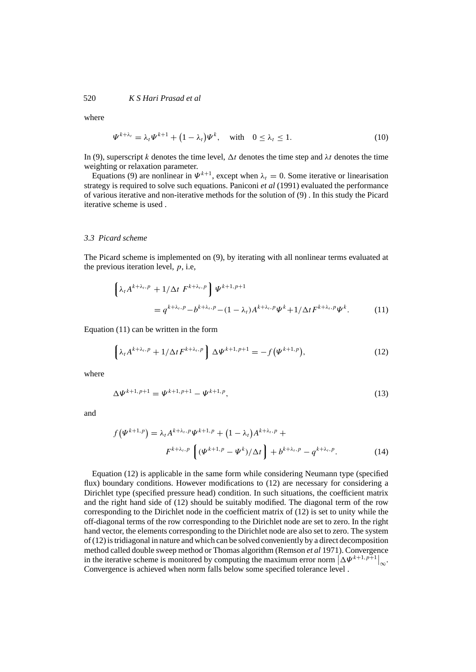where

$$
\Psi^{k+\lambda_t} = \lambda_t \Psi^{k+1} + (1 - \lambda_t) \Psi^k, \quad \text{with} \quad 0 \le \lambda_t \le 1. \tag{10}
$$

In (9), superscript k denotes the time level,  $\Delta t$  denotes the time step and  $\lambda t$  denotes the time weighting or relaxation parameter.

Equations (9) are nonlinear in  $\Psi^{k+1}$ , except when  $\lambda_t = 0$ . Some iterative or linearisation strategy is required to solve such equations. Paniconi *et al* (1991) evaluated the performance of various iterative and non-iterative methods for the solution of (9) . In this study the Picard iterative scheme is used .

# *3.3 Picard scheme*

The Picard scheme is implemented on (9), by iterating with all nonlinear terms evaluated at the previous iteration level,  $p$ , i.e,

$$
\left\{\lambda_t A^{k+\lambda_t, p} + 1/\Delta t \ F^{k+\lambda_t, p}\right\} \Psi^{k+1, p+1}
$$
  
=  $q^{k+\lambda_t, p} - b^{k+\lambda_t, p} - (1 - \lambda_t) A^{k+\lambda_t, p} \Psi^k + 1/\Delta t F^{k+\lambda_t, p} \Psi^k.$  (11)

Equation (11) can be written in the form

$$
\left\{\lambda_t A^{k+\lambda_t, p} + 1/\Delta t F^{k+\lambda_t, p}\right\} \Delta \Psi^{k+1, p+1} = -f(\Psi^{k+1, p}),\tag{12}
$$

where

$$
\Delta \Psi^{k+1, p+1} = \Psi^{k+1, p+1} - \Psi^{k+1, p}, \tag{13}
$$

and

$$
f(\Psi^{k+1,p}) = \lambda_t A^{k+\lambda_t, p} \Psi^{k+1, p} + (1 - \lambda_t) A^{k+\lambda_t, p} +
$$
  

$$
F^{k+\lambda_t, p} \left[ (\Psi^{k+1, p} - \Psi^k) / \Delta t \right] + b^{k+\lambda_t, p} - q^{k+\lambda_t, p}.
$$
 (14)

Equation (12) is applicable in the same form while considering Neumann type (specified flux) boundary conditions. However modifications to (12) are necessary for considering a Dirichlet type (specified pressure head) condition. In such situations, the coefficient matrix and the right hand side of (12) should be suitably modified. The diagonal term of the row corresponding to the Dirichlet node in the coefficient matrix of (12) is set to unity while the off-diagonal terms of the row corresponding to the Dirichlet node are set to zero. In the right hand vector, the elements corresponding to the Dirichlet node are also set to zero. The system of (12) is tridiagonal in nature and which can be solved conveniently by a direct decomposition method called double sweep method or Thomas algorithm (Remson *et al* 1971). Convergence in the iterative scheme is monitored by computing the maximum error norm  $|\Delta \Psi^{k+1,p+1}|_{\infty}$ . Convergence is achieved when norm falls below some specified tolerance level .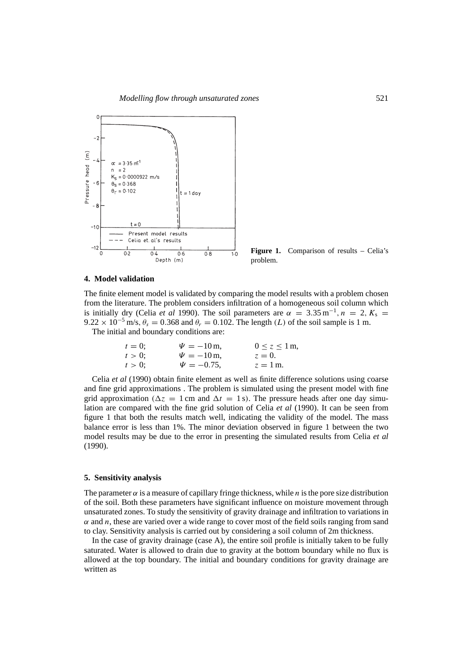

Figure 1. Comparison of results – Celia's problem.

#### **4. Model validation**

The finite element model is validated by comparing the model results with a problem chosen from the literature. The problem considers infiltration of a homogeneous soil column which is initially dry (Celia *et al* 1990). The soil parameters are  $\alpha = 3.35 \text{ m}^{-1}$ ,  $n = 2$ ,  $K_s =$  $9.22 \times 10^{-5}$  m/s,  $\theta_s = 0.368$  and  $\theta_r = 0.102$ . The length (L) of the soil sample is 1 m.

The initial and boundary conditions are:

| $t=0$ :   | $\Psi = -10$ m,  | $0 \leq z \leq 1$ m, |
|-----------|------------------|----------------------|
| $t > 0$ ; | $\Psi = -10$ m,  | $z=0.$               |
| $t > 0$ ; | $\Psi = -0.75$ . | $z = 1$ m.           |

Celia *et al* (1990) obtain finite element as well as finite difference solutions using coarse and fine grid approximations . The problem is simulated using the present model with fine grid approximation ( $\Delta z = 1$  cm and  $\Delta t = 1$  s). The pressure heads after one day simulation are compared with the fine grid solution of Celia *et al* (1990). It can be seen from figure 1 that both the results match well, indicating the validity of the model. The mass balance error is less than 1%. The minor deviation observed in figure 1 between the two model results may be due to the error in presenting the simulated results from Celia *et al* (1990).

### **5. Sensitivity analysis**

The parameter  $\alpha$  is a measure of capillary fringe thickness, while *n* is the pore size distribution of the soil. Both these parameters have significant influence on moisture movement through unsaturated zones. To study the sensitivity of gravity drainage and infiltration to variations in  $\alpha$  and n, these are varied over a wide range to cover most of the field soils ranging from sand to clay. Sensitivity analysis is carried out by considering a soil column of 2m thickness.

In the case of gravity drainage (case A), the entire soil profile is initially taken to be fully saturated. Water is allowed to drain due to gravity at the bottom boundary while no flux is allowed at the top boundary. The initial and boundary conditions for gravity drainage are written as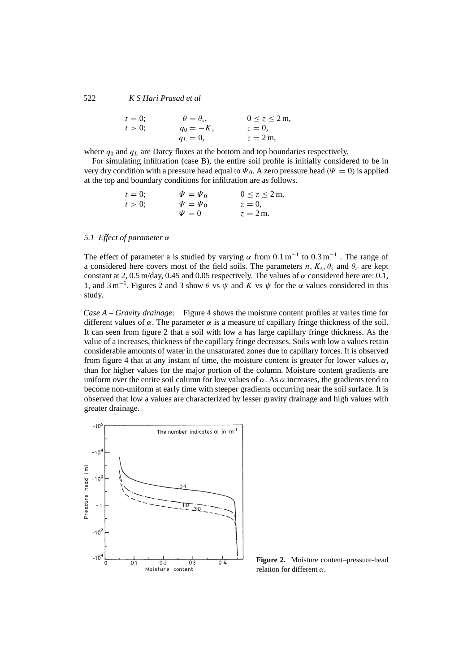| $t = 0;$   | $\theta = \theta_s,$ | $0 \le z \le 2m,$ |
|------------|----------------------|-------------------|
| $t > 0;$   | $q_0 = -K,$          | $z = 0,$          |
| $q_L = 0,$ | $z = 2m,$            |                   |

where  $q_0$  and  $q_L$  are Darcy fluxes at the bottom and top boundaries respectively.

For simulating infiltration (case B), the entire soil profile is initially considered to be in very dry condition with a pressure head equal to  $\Psi_0$ . A zero pressure head ( $\Psi = 0$ ) is applied at the top and boundary conditions for infiltration are as follows.

| $t = 0;$   | $\Psi = \Psi_0$      | $0 \le z \le 2 \, \text{m},$ |
|------------|----------------------|------------------------------|
| $t > 0;$   | $\Psi = \Psi_0$      | $z = 0,$                     |
| $\Psi = 0$ | $z = 2 \, \text{m}.$ |                              |

# *5.1 Effect of parameter* α

The effect of parameter a is studied by varying  $\alpha$  from 0.1 m<sup>-1</sup> to 0.3 m<sup>-1</sup>. The range of a considered here covers most of the field soils. The parameters n,  $K_s$ ,  $\theta_s$  and  $\theta_r$  are kept constant at 2, 0.5 m/day, 0.45 and 0.05 respectively. The values of  $\alpha$  considered here are: 0.1, 1, and  $3 \text{ m}^{-1}$ . Figures 2 and 3 show  $\theta$  vs  $\psi$  and K vs  $\psi$  for the  $\alpha$  values considered in this study.

*Case A – Gravity drainage:* Figure 4 shows the moisture content profiles at varies time for different values of  $\alpha$ . The parameter  $\alpha$  is a measure of capillary fringe thickness of the soil. It can seen from figure 2 that a soil with low a has large capillary fringe thickness. As the value of a increases, thickness of the capillary fringe decreases. Soils with low a values retain considerable amounts of water in the unsaturated zones due to capillary forces. It is observed from figure 4 that at any instant of time, the moisture content is greater for lower values  $\alpha$ , than for higher values for the major portion of the column. Moisture content gradients are uniform over the entire soil column for low values of  $\alpha$ . As  $\alpha$  increases, the gradients tend to become non-uniform at early time with steeper gradients occurring near the soil surface. It is observed that low a values are characterized by lesser gravity drainage and high values with greater drainage.



**Figure 2.** Moisture content–pressure-head relation for different  $\alpha$ .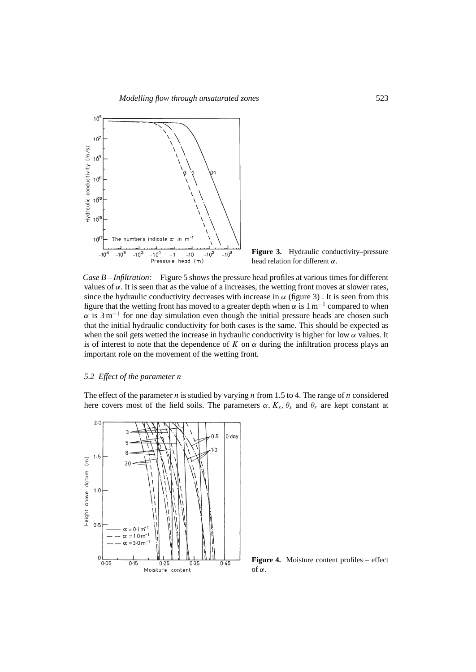

**Figure 3.** Hydraulic conductivity–pressure head relation for different  $\alpha$ .

*Case B – Infiltration:* Figure 5 shows the pressure head profiles at various times for different values of  $\alpha$ . It is seen that as the value of a increases, the wetting front moves at slower rates, since the hydraulic conductivity decreases with increase in  $\alpha$  (figure 3). It is seen from this figure that the wetting front has moved to a greater depth when  $\alpha$  is 1 m<sup>-1</sup> compared to when  $\alpha$  is 3 m<sup>-1</sup> for one day simulation even though the initial pressure heads are chosen such that the initial hydraulic conductivity for both cases is the same. This should be expected as when the soil gets wetted the increase in hydraulic conductivity is higher for low  $\alpha$  values. It is of interest to note that the dependence of K on  $\alpha$  during the infiltration process plays an important role on the movement of the wetting front.

# *5.2 Effect of the parameter* n

The effect of the parameter *n* is studied by varying *n* from 1.5 to 4. The range of *n* considered here covers most of the field soils. The parameters  $\alpha$ ,  $K_s$ ,  $\theta_s$  and  $\theta_r$  are kept constant at



**Figure 4.** Moisture content profiles – effect of  $\alpha$ .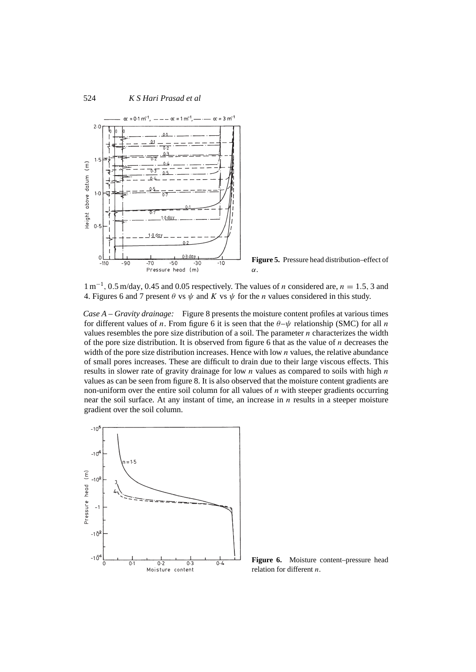

**Figure 5.** Pressure head distribution–effect of α.

 $1 \text{ m}^{-1}$ , 0.5 m/day, 0.45 and 0.05 respectively. The values of *n* considered are, *n* = 1.5, 3 and 4. Figures 6 and 7 present  $\theta$  vs  $\psi$  and K vs  $\psi$  for the *n* values considered in this study.

*Case A – Gravity drainage:* Figure 8 presents the moisture content profiles at various times for different values of *n*. From figure 6 it is seen that the  $\theta-\psi$  relationship (SMC) for all *n* values resembles the pore size distribution of a soil. The parameter n characterizes the width of the pore size distribution. It is observed from figure 6 that as the value of n decreases the width of the pore size distribution increases. Hence with low  $n$  values, the relative abundance of small pores increases. These are difficult to drain due to their large viscous effects. This results in slower rate of gravity drainage for low  $n$  values as compared to soils with high  $n$ values as can be seen from figure 8. It is also observed that the moisture content gradients are non-uniform over the entire soil column for all values of  $n$  with steeper gradients occurring near the soil surface. At any instant of time, an increase in  $n$  results in a steeper moisture gradient over the soil column.



**Figure 6.** Moisture content–pressure head relation for different n.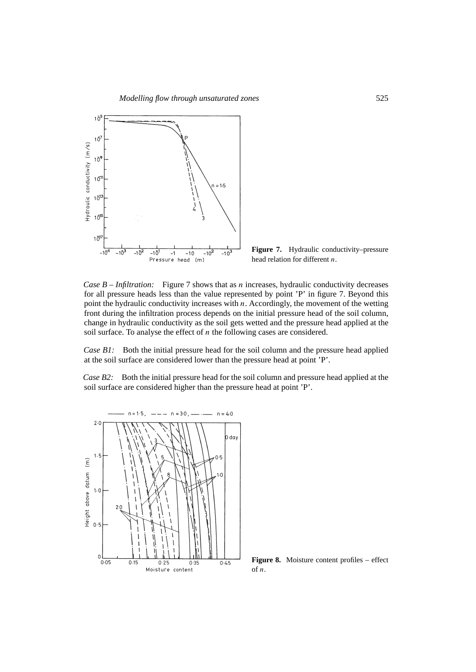

Figure 7. Hydraulic conductivity–pressure head relation for different n.

*Case B – Infiltration:* Figure 7 shows that as *n* increases, hydraulic conductivity decreases for all pressure heads less than the value represented by point 'P' in figure 7. Beyond this point the hydraulic conductivity increases with  $n$ . Accordingly, the movement of the wetting front during the infiltration process depends on the initial pressure head of the soil column, change in hydraulic conductivity as the soil gets wetted and the pressure head applied at the soil surface. To analyse the effect of  $n$  the following cases are considered.

*Case B1:* Both the initial pressure head for the soil column and the pressure head applied at the soil surface are considered lower than the pressure head at point 'P'.

*Case B2:* Both the initial pressure head for the soil column and pressure head applied at the soil surface are considered higher than the pressure head at point 'P'.



**Figure 8.** Moisture content profiles – effect of n.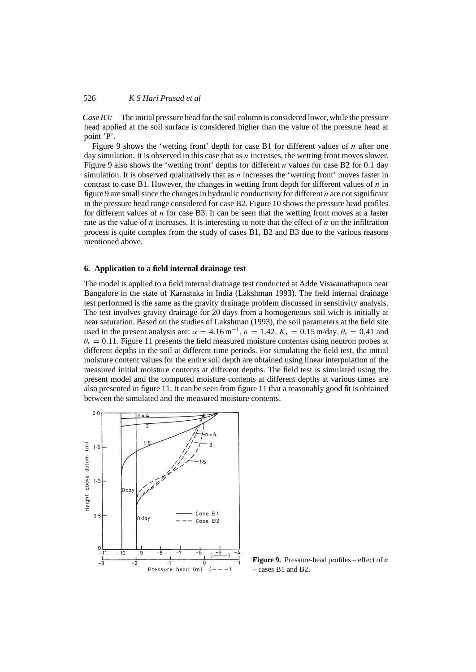*Case B3:* The initial pressure head for the soil column is considered lower, while the pressure head applied at the soil surface is considered higher than the value of the pressure head at point 'P'.

Figure 9 shows the 'wetting front' depth for case B1 for different values of n after one day simulation. It is observed in this case that as  $n$  increases, the wetting front moves slower. Figure 9 also shows the 'wetting front' depths for different *n* values for case B2 for 0.1 day simulation. It is observed qualitatively that as *n* increases the 'wetting front' moves faster in contrast to case B1. However, the changes in wetting front depth for different values of  $n$  in figure 9 are small since the changes in hydraulic conductivity for different  $n$  are not significant in the pressure head range considered for case B2. Figure 10 shows the pressure head profiles for different values of  $n$  for case B3. It can be seen that the wetting front moves at a faster rate as the value of n increases. It is interesting to note that the effect of  $n$  on the infiltration process is quite complex from the study of cases B1, B2 and B3 due to the various reasons mentioned above.

#### **6. Application to a field internal drainage test**

The model is applied to a field internal drainage test conducted at Adde Viswanathapura near Bangalore in the state of Karnataka in India (Lakshman 1993). The field internal drainage test performed is the same as the gravity drainage problem discussed in sensitivity analysis. The test involves gravity drainage for 20 days from a homogeneous soil wich is initially at near saturation. Based on the studies of Lakshman (1993), the soil parameters at the field site used in the present analysis are:  $\alpha = 4.16 \,\text{m}^{-1}$ ,  $n = 1.42$ ,  $K_s = 0.15 \,\text{m/day}$ ,  $\theta_s = 0.41$  and  $\theta_r = 0.11$ . Figure 11 presents the field measured moisture contentss using neutron probes at different depths in the soil at different time periods. For simulating the field test, the initial moisture content values for the entire soil depth are obtained using linear interpolation of the measured initial moisture contents at different depths. The field test is simulated using the present model and the computed moisture contents at different depths at various times are also presented in figure 11. It can be seen from figure 11 that a reasonably good fit is obtained between the simulated and the measured moisture contents.



**Figure 9.** Pressure-head profiles – effect of  $n$ – cases B1 and B2.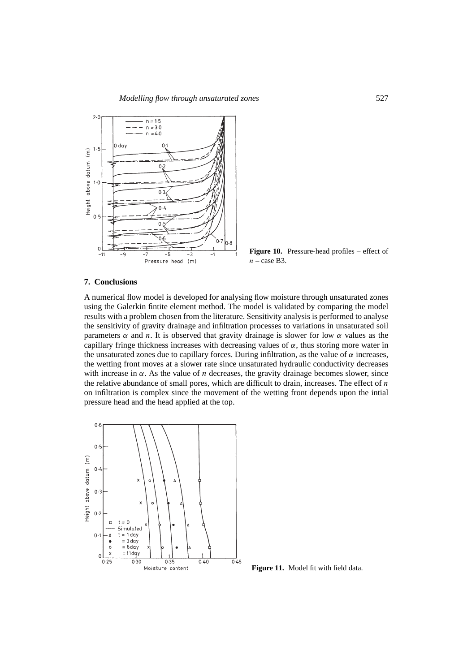

**Figure 10.** Pressure-head profiles – effect of  $n$  – case B3.

#### **7. Conclusions**

A numerical flow model is developed for analysing flow moisture through unsaturated zones using the Galerkin fintite element method. The model is validated by comparing the model results with a problem chosen from the literature. Sensitivity analysis is performed to analyse the sensitivity of gravity drainage and infiltration processes to variations in unsaturated soil parameters  $\alpha$  and *n*. It is observed that gravity drainage is slower for low  $\alpha$  values as the capillary fringe thickness increases with decreasing values of  $\alpha$ , thus storing more water in the unsaturated zones due to capillary forces. During infiltration, as the value of  $\alpha$  increases, the wetting front moves at a slower rate since unsaturated hydraulic conductivity decreases with increase in  $\alpha$ . As the value of *n* decreases, the gravity drainage becomes slower, since the relative abundance of small pores, which are difficult to drain, increases. The effect of  $n$ on infiltration is complex since the movement of the wetting front depends upon the intial pressure head and the head applied at the top.



**Figure 11.** Model fit with field data.